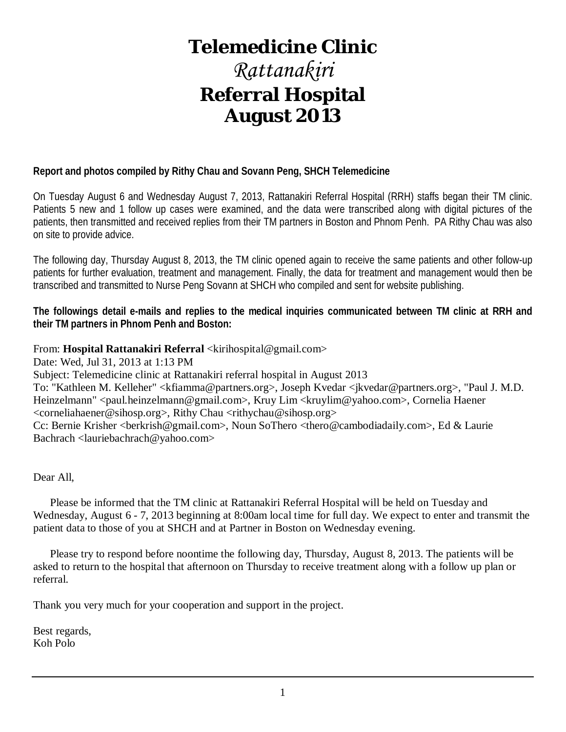## **Telemedicine Clinic**

## *Rattanakiri* **Referral Hospital August 2013**

## **Report and photos compiled by Rithy Chau and Sovann Peng, SHCH Telemedicine**

On Tuesday August 6 and Wednesday August 7, 2013, Rattanakiri Referral Hospital (RRH) staffs began their TM clinic. Patients 5 new and 1 follow up cases were examined, and the data were transcribed along with digital pictures of the patients, then transmitted and received replies from their TM partners in Boston and Phnom Penh. PA Rithy Chau was also on site to provide advice.

The following day, Thursday August 8, 2013, the TM clinic opened again to receive the same patients and other follow-up patients for further evaluation, treatment and management. Finally, the data for treatment and management would then be transcribed and transmitted to Nurse Peng Sovann at SHCH who compiled and sent for website publishing.

**The followings detail e-mails and replies to the medical inquiries communicated between TM clinic at RRH and their TM partners in Phnom Penh and Boston:**

## From: **Hospital Rattanakiri Referral** <kirihospital@gmail.com>

Date: Wed, Jul 31, 2013 at 1:13 PM

Subject: Telemedicine clinic at Rattanakiri referral hospital in August 2013

To: "Kathleen M. Kelleher" <kfiamma@partners.org>, Joseph Kvedar <jkvedar@partners.org>, "Paul J. M.D. Heinzelmann" <paul.heinzelmann@gmail.com>, Kruy Lim <kruylim@yahoo.com>, Cornelia Haener <corneliahaener@sihosp.org>, Rithy Chau <rithychau@sihosp.org>

Cc: Bernie Krisher <br/>berkrish@gmail.com>, Noun SoThero <thero@cambodiadaily.com>, Ed & Laurie Bachrach <lauriebachrach@yahoo.com>

Dear All,

 Please be informed that the TM clinic at Rattanakiri Referral Hospital will be held on Tuesday and Wednesday, August 6 - 7, 2013 beginning at 8:00am local time for full day. We expect to enter and transmit the patient data to those of you at SHCH and at Partner in Boston on Wednesday evening.

 Please try to respond before noontime the following day, Thursday, August 8, 2013. The patients will be asked to return to the hospital that afternoon on Thursday to receive treatment along with a follow up plan or referral.

Thank you very much for your cooperation and support in the project.

Best regards, Koh Polo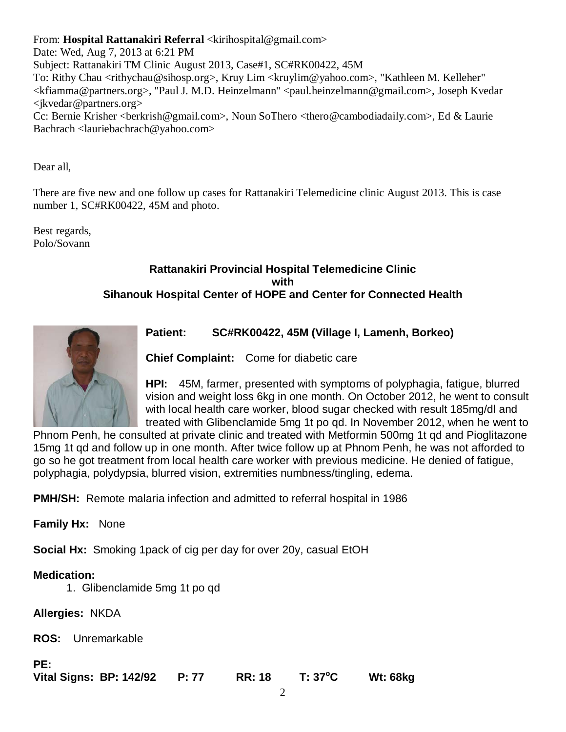From: **Hospital Rattanakiri Referral** <kirihospital@gmail.com>

Date: Wed, Aug 7, 2013 at 6:21 PM

Subject: Rattanakiri TM Clinic August 2013, Case#1, SC#RK00422, 45M

To: Rithy Chau <rithychau@sihosp.org>, Kruy Lim <kruylim@yahoo.com>, "Kathleen M. Kelleher" <kfiamma@partners.org>, "Paul J. M.D. Heinzelmann" <paul.heinzelmann@gmail.com>, Joseph Kvedar <jkvedar@partners.org>

Cc: Bernie Krisher <berkrish@gmail.com>, Noun SoThero <thero@cambodiadaily.com>, Ed & Laurie Bachrach <lauriebachrach@yahoo.com>

Dear all,

There are five new and one follow up cases for Rattanakiri Telemedicine clinic August 2013. This is case number 1, SC#RK00422, 45M and photo.

Best regards, Polo/Sovann

## **Rattanakiri Provincial Hospital Telemedicine Clinic with Sihanouk Hospital Center of HOPE and Center for Connected Health**



**Patient: SC#RK00422, 45M (Village I, Lamenh, Borkeo)** 

**Chief Complaint:** Come for diabetic care

**HPI:** 45M, farmer, presented with symptoms of polyphagia, fatigue, blurred vision and weight loss 6kg in one month. On October 2012, he went to consult with local health care worker, blood sugar checked with result 185mg/dl and treated with Glibenclamide 5mg 1t po qd. In November 2012, when he went to

Phnom Penh, he consulted at private clinic and treated with Metformin 500mg 1t qd and Pioglitazone 15mg 1t qd and follow up in one month. After twice follow up at Phnom Penh, he was not afforded to go so he got treatment from local health care worker with previous medicine. He denied of fatigue, polyphagia, polydypsia, blurred vision, extremities numbness/tingling, edema.

**PMH/SH:** Remote malaria infection and admitted to referral hospital in 1986

**Family Hx:** None

**Social Hx:** Smoking 1pack of cig per day for over 20y, casual EtOH

## **Medication:**

1. Glibenclamide 5mg 1t po qd

**Allergies:** NKDA

**ROS:** Unremarkable

**PE:**

**Vital Signs: BP: 142/92 P: 77 RR: 18 T: 37<sup>o</sup> C Wt: 68kg**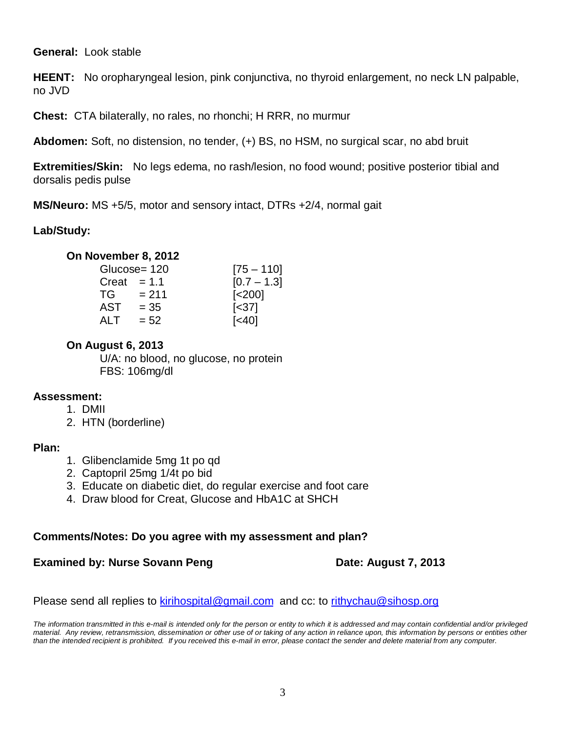**General:** Look stable

**HEENT:** No oropharyngeal lesion, pink conjunctiva, no thyroid enlargement, no neck LN palpable, no JVD

**Chest:** CTA bilaterally, no rales, no rhonchi; H RRR, no murmur

**Abdomen:** Soft, no distension, no tender, (+) BS, no HSM, no surgical scar, no abd bruit

**Extremities/Skin:** No legs edema, no rash/lesion, no food wound; positive posterior tibial and dorsalis pedis pulse

**MS/Neuro:** MS +5/5, motor and sensory intact, DTRs +2/4, normal gait

## **Lab/Study:**

## **On November 8, 2012**

|       | Glucose= 120 | $[75 - 110]$           |
|-------|--------------|------------------------|
| Creat | $= 1.1$      | $[0.7 - 1.3]$          |
| TG.   | $= 211$      | $\left[ < 200 \right]$ |
| AST   | $= 35$       | $\left[ < 37 \right]$  |
| ALT   | $= 52$       | $\left[40\right]$      |
|       |              |                        |

## **On August 6, 2013**

U/A: no blood, no glucose, no protein FBS: 106mg/dl

## **Assessment:**

1. DMII

2. HTN (borderline)

## **Plan:**

- 1. Glibenclamide 5mg 1t po qd
- 2. Captopril 25mg 1/4t po bid
- 3. Educate on diabetic diet, do regular exercise and foot care
- 4. Draw blood for Creat, Glucose and HbA1C at SHCH

## **Comments/Notes: Do you agree with my assessment and plan?**

## **Examined by: Nurse Sovann Peng Date: August 7, 2013**

Please send all replies to [kirihospital@gmail.com](mailto:kirihospital@gmail.com) and cc: to [rithychau@sihosp.org](mailto:rithychau@sihosp.org)

*The information transmitted in this e-mail is intended only for the person or entity to which it is addressed and may contain confidential and/or privileged material. Any review, retransmission, dissemination or other use of or taking of any action in reliance upon, this information by persons or entities other than the intended recipient is prohibited. If you received this e-mail in error, please contact the sender and delete material from any computer.*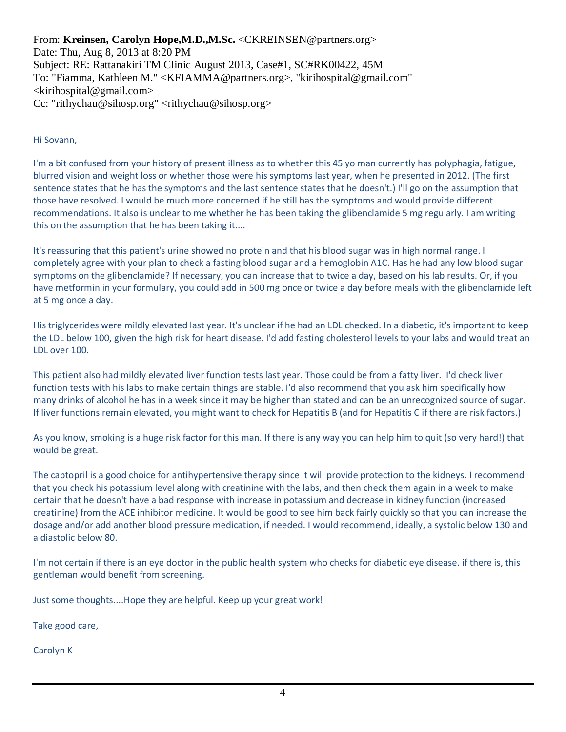From: **Kreinsen, Carolyn Hope,M.D.,M.Sc.** <CKREINSEN@partners.org>

Date: Thu, Aug 8, 2013 at 8:20 PM Subject: RE: Rattanakiri TM Clinic August 2013, Case#1, SC#RK00422, 45M To: "Fiamma, Kathleen M." <KFIAMMA@partners.org>, "kirihospital@gmail.com"  $\langle$ kirihospital@gmail.com> Cc: "rithychau@sihosp.org" <rithychau@sihosp.org>

Hi Sovann,

I'm a bit confused from your history of present illness as to whether this 45 yo man currently has polyphagia, fatigue, blurred vision and weight loss or whether those were his symptoms last year, when he presented in 2012. (The first sentence states that he has the symptoms and the last sentence states that he doesn't.) I'll go on the assumption that those have resolved. I would be much more concerned if he still has the symptoms and would provide different recommendations. It also is unclear to me whether he has been taking the glibenclamide 5 mg regularly. I am writing this on the assumption that he has been taking it....

It's reassuring that this patient's urine showed no protein and that his blood sugar was in high normal range. I completely agree with your plan to check a fasting blood sugar and a hemoglobin A1C. Has he had any low blood sugar symptoms on the glibenclamide? If necessary, you can increase that to twice a day, based on his lab results. Or, if you have metformin in your formulary, you could add in 500 mg once or twice a day before meals with the glibenclamide left at 5 mg once a day.

His triglycerides were mildly elevated last year. It's unclear if he had an LDL checked. In a diabetic, it's important to keep the LDL below 100, given the high risk for heart disease. I'd add fasting cholesterol levels to your labs and would treat an LDL over 100.

This patient also had mildly elevated liver function tests last year. Those could be from a fatty liver. I'd check liver function tests with his labs to make certain things are stable. I'd also recommend that you ask him specifically how many drinks of alcohol he has in a week since it may be higher than stated and can be an unrecognized source of sugar. If liver functions remain elevated, you might want to check for Hepatitis B (and for Hepatitis C if there are risk factors.)

As you know, smoking is a huge risk factor for this man. If there is any way you can help him to quit (so very hard!) that would be great.

The captopril is a good choice for antihypertensive therapy since it will provide protection to the kidneys. I recommend that you check his potassium level along with creatinine with the labs, and then check them again in a week to make certain that he doesn't have a bad response with increase in potassium and decrease in kidney function (increased creatinine) from the ACE inhibitor medicine. It would be good to see him back fairly quickly so that you can increase the dosage and/or add another blood pressure medication, if needed. I would recommend, ideally, a systolic below 130 and a diastolic below 80.

I'm not certain if there is an eye doctor in the public health system who checks for diabetic eye disease. if there is, this gentleman would benefit from screening.

Just some thoughts....Hope they are helpful. Keep up your great work!

Take good care,

Carolyn K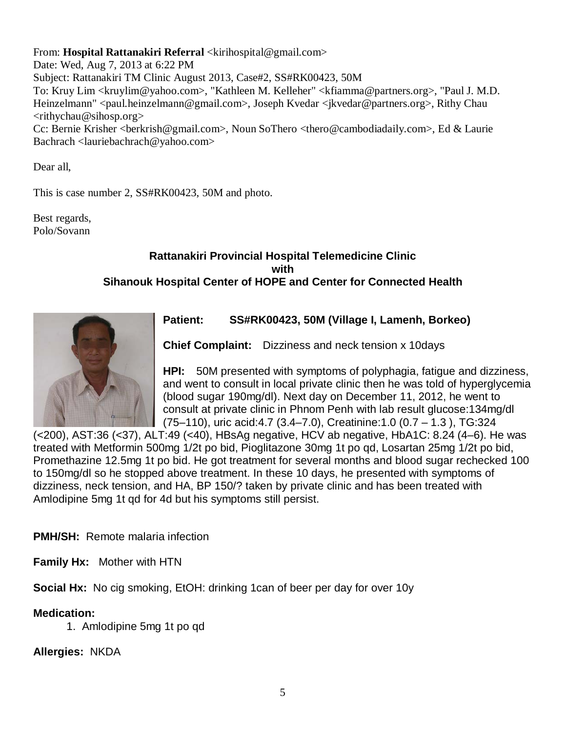From: **Hospital Rattanakiri Referral** <kirihospital@gmail.com>

Date: Wed, Aug 7, 2013 at 6:22 PM Subject: Rattanakiri TM Clinic August 2013, Case#2, SS#RK00423, 50M To: Kruy Lim <kruylim@yahoo.com>, "Kathleen M. Kelleher" <kfiamma@partners.org>, "Paul J. M.D. Heinzelmann" <paul.heinzelmann@gmail.com>, Joseph Kvedar <jkvedar@partners.org>, Rithy Chau  $\langle$ rithychau@sihosp.org> Cc: Bernie Krisher <berkrish@gmail.com>, Noun SoThero <thero@cambodiadaily.com>, Ed & Laurie

Bachrach <lauriebachrach@yahoo.com>

Dear all,

This is case number 2, SS#RK00423, 50M and photo.

Best regards, Polo/Sovann

## **Rattanakiri Provincial Hospital Telemedicine Clinic with Sihanouk Hospital Center of HOPE and Center for Connected Health**



## **Patient: SS#RK00423, 50M (Village I, Lamenh, Borkeo)**

**Chief Complaint:** Dizziness and neck tension x 10days

**HPI:** 50M presented with symptoms of polyphagia, fatigue and dizziness, and went to consult in local private clinic then he was told of hyperglycemia (blood sugar 190mg/dl). Next day on December 11, 2012, he went to consult at private clinic in Phnom Penh with lab result glucose:134mg/dl (75–110), uric acid:4.7 (3.4–7.0), Creatinine:1.0 (0.7 – 1.3 ), TG:324

(<200), AST:36 (<37), ALT:49 (<40), HBsAg negative, HCV ab negative, HbA1C: 8.24 (4–6). He was treated with Metformin 500mg 1/2t po bid, Pioglitazone 30mg 1t po qd, Losartan 25mg 1/2t po bid, Promethazine 12.5mg 1t po bid. He got treatment for several months and blood sugar rechecked 100 to 150mg/dl so he stopped above treatment. In these 10 days, he presented with symptoms of dizziness, neck tension, and HA, BP 150/? taken by private clinic and has been treated with Amlodipine 5mg 1t qd for 4d but his symptoms still persist.

**PMH/SH:** Remote malaria infection

**Family Hx:** Mother with HTN

**Social Hx:** No cig smoking, EtOH: drinking 1can of beer per day for over 10y

## **Medication:**

1. Amlodipine 5mg 1t po qd

**Allergies:** NKDA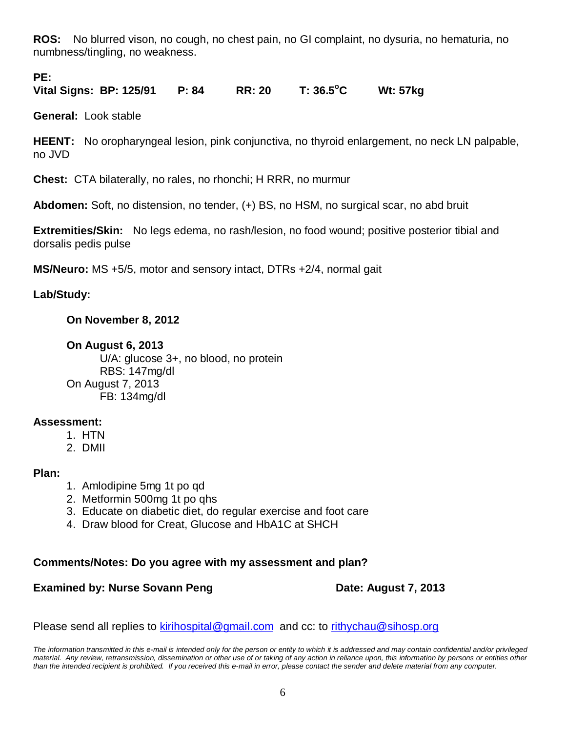**ROS:** No blurred vison, no cough, no chest pain, no GI complaint, no dysuria, no hematuria, no numbness/tingling, no weakness.

## **PE:**

**Vital Signs: BP: 125/91 P: 84 RR: 20 T: 36.5<sup>o</sup> C Wt: 57kg** 

**General:** Look stable

**HEENT:** No oropharyngeal lesion, pink conjunctiva, no thyroid enlargement, no neck LN palpable, no JVD

**Chest:** CTA bilaterally, no rales, no rhonchi; H RRR, no murmur

**Abdomen:** Soft, no distension, no tender, (+) BS, no HSM, no surgical scar, no abd bruit

**Extremities/Skin:** No legs edema, no rash/lesion, no food wound; positive posterior tibial and dorsalis pedis pulse

**MS/Neuro:** MS +5/5, motor and sensory intact, DTRs +2/4, normal gait

## **Lab/Study:**

## **On November 8, 2012**

## **On August 6, 2013**

U/A: glucose 3+, no blood, no protein RBS: 147mg/dl On August 7, 2013 FB: 134mg/dl

## **Assessment:**

- 1. HTN
- 2. DMII

## **Plan:**

- 1. Amlodipine 5mg 1t po qd
- 2. Metformin 500mg 1t po qhs
- 3. Educate on diabetic diet, do regular exercise and foot care
- 4. Draw blood for Creat, Glucose and HbA1C at SHCH

## **Comments/Notes: Do you agree with my assessment and plan?**

## **Examined by: Nurse Sovann Peng Date: August 7, 2013**

Please send all replies to [kirihospital@gmail.com](mailto:kirihospital@gmail.com) and cc: to [rithychau@sihosp.org](mailto:rithychau@sihosp.org)

*The information transmitted in this e-mail is intended only for the person or entity to which it is addressed and may contain confidential and/or privileged material. Any review, retransmission, dissemination or other use of or taking of any action in reliance upon, this information by persons or entities other than the intended recipient is prohibited. If you received this e-mail in error, please contact the sender and delete material from any computer.*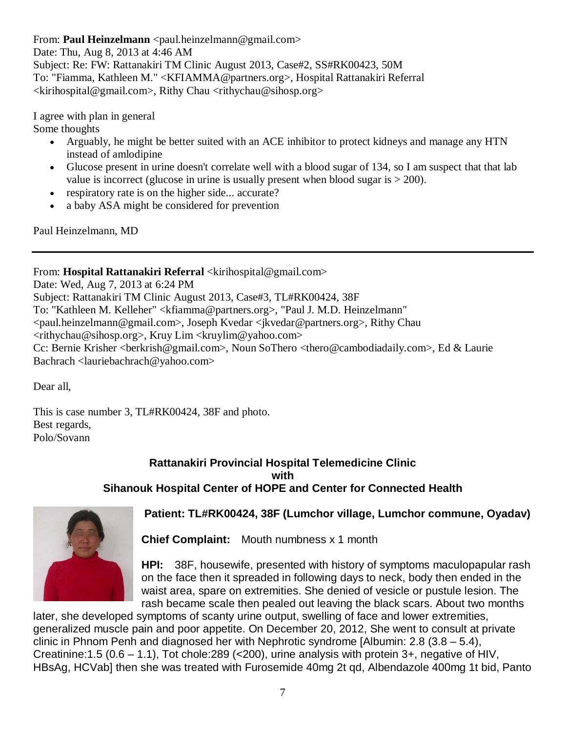From: **Paul Heinzelmann** <paul.heinzelmann@gmail.com>

Date: Thu, Aug 8, 2013 at 4:46 AM Subject: Re: FW: Rattanakiri TM Clinic August 2013, Case#2, SS#RK00423, 50M To: "Fiamma, Kathleen M." <KFIAMMA@partners.org>, Hospital Rattanakiri Referral <kirihospital@gmail.com>, Rithy Chau <rithychau@sihosp.org>

I agree with plan in general

Some thoughts

- Arguably, he might be better suited with an ACE inhibitor to protect kidneys and manage any HTN instead of amlodipine
- Glucose present in urine doesn't correlate well with a blood sugar of 134, so I am suspect that that lab value is incorrect (glucose in urine is usually present when blood sugar is  $> 200$ ).
- respiratory rate is on the higher side... accurate?
- a baby ASA might be considered for prevention

Paul Heinzelmann, MD

From: **Hospital Rattanakiri Referral** <kirihospital@gmail.com>

Date: Wed, Aug 7, 2013 at 6:24 PM Subject: Rattanakiri TM Clinic August 2013, Case#3, TL#RK00424, 38F To: "Kathleen M. Kelleher" <kfiamma@partners.org>, "Paul J. M.D. Heinzelmann" <paul.heinzelmann@gmail.com>, Joseph Kvedar <jkvedar@partners.org>, Rithy Chau <rithychau@sihosp.org>, Kruy Lim <kruylim@yahoo.com> Cc: Bernie Krisher <br/> <br/>berkrish@gmail.com>, Noun SoThero <thero@cambodiadaily.com>, Ed & Laurie Bachrach <lauriebachrach@yahoo.com>

Dear all,

This is case number 3, TL#RK00424, 38F and photo. Best regards, Polo/Sovann

## **Rattanakiri Provincial Hospital Telemedicine Clinic with Sihanouk Hospital Center of HOPE and Center for Connected Health**



## **Patient: TL#RK00424, 38F (Lumchor village, Lumchor commune, Oyadav)**

**Chief Complaint:** Mouth numbness x 1 month

**HPI:** 38F, housewife, presented with history of symptoms maculopapular rash on the face then it spreaded in following days to neck, body then ended in the waist area, spare on extremities. She denied of vesicle or pustule lesion. The rash became scale then pealed out leaving the black scars. About two months

later, she developed symptoms of scanty urine output, swelling of face and lower extremities, generalized muscle pain and poor appetite. On December 20, 2012, She went to consult at private clinic in Phnom Penh and diagnosed her with Nephrotic syndrome [Albumin: 2.8 (3.8 – 5.4), Creatinine:1.5 (0.6 – 1.1), Tot chole:289 (<200), urine analysis with protein 3+, negative of HIV, HBsAg, HCVab] then she was treated with Furosemide 40mg 2t qd, Albendazole 400mg 1t bid, Panto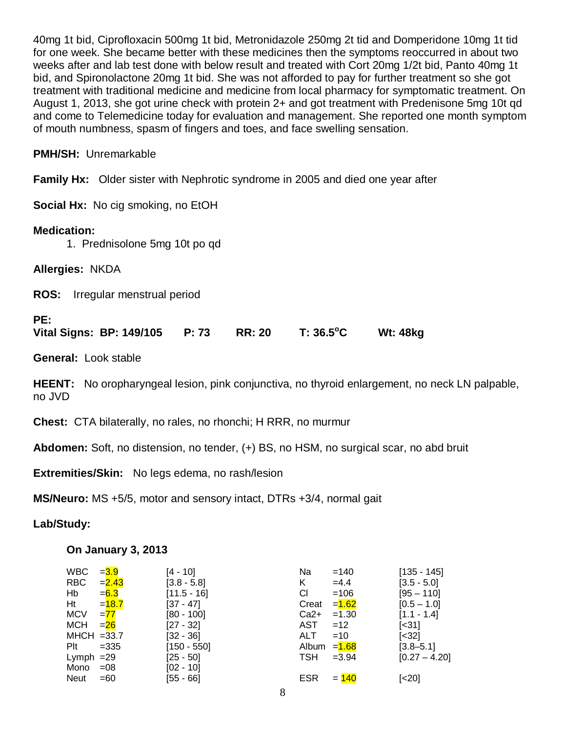40mg 1t bid, Ciprofloxacin 500mg 1t bid, Metronidazole 250mg 2t tid and Domperidone 10mg 1t tid for one week. She became better with these medicines then the symptoms reoccurred in about two weeks after and lab test done with below result and treated with Cort 20mg 1/2t bid, Panto 40mg 1t bid, and Spironolactone 20mg 1t bid. She was not afforded to pay for further treatment so she got treatment with traditional medicine and medicine from local pharmacy for symptomatic treatment. On August 1, 2013, she got urine check with protein 2+ and got treatment with Predenisone 5mg 10t qd and come to Telemedicine today for evaluation and management. She reported one month symptom of mouth numbness, spasm of fingers and toes, and face swelling sensation.

## **PMH/SH:** Unremarkable

**Family Hx:** Older sister with Nephrotic syndrome in 2005 and died one year after

**Social Hx:** No cig smoking, no EtOH

## **Medication:**

1. Prednisolone 5mg 10t po qd

**Allergies:** NKDA

**ROS:** Irregular menstrual period

## **PE:**

**Vital Signs: BP: 149/105 P: 73 RR: 20 T: 36.5<sup>o</sup> C Wt: 48kg** 

**General:** Look stable

**HEENT:** No oropharyngeal lesion, pink conjunctiva, no thyroid enlargement, no neck LN palpable, no JVD

**Chest:** CTA bilaterally, no rales, no rhonchi; H RRR, no murmur

**Abdomen:** Soft, no distension, no tender, (+) BS, no HSM, no surgical scar, no abd bruit

**Extremities/Skin:** No legs edema, no rash/lesion

**MS/Neuro:** MS +5/5, motor and sensory intact, DTRs +3/4, normal gait

**Lab/Study:** 

## **On January 3, 2013**

| <b>WBC</b>    | $= 3.9$  | $[4 - 10]$    | Na            | $=140$   | $[135 - 145]$              |
|---------------|----------|---------------|---------------|----------|----------------------------|
| <b>RBC</b>    | $= 2.43$ | $[3.8 - 5.8]$ | K.            | $=4.4$   | $[3.5 - 5.0]$              |
| Hb            | $= 6.3$  | $[11.5 - 16]$ | СI            | $=106$   | $[95 - 110]$               |
| Ht            | $=18.7$  | $[37 - 47]$   | Creat         | $= 1.62$ | $[0.5 - 1.0]$              |
| <b>MCV</b>    | $= 77$   | $[80 - 100]$  | $Ca2+$        | $=1.30$  | $[1.1 - 1.4]$              |
| MCH           | $= 26$   | $[27 - 32]$   | AST           | $=12$    | $\left[ \times 31 \right]$ |
| $MHCH = 33.7$ |          | $[32 - 36]$   | ALT.          | $=10$    | $[<32]$                    |
| $P$ It        | $=335$   | $[150 - 550]$ | Album $=1.68$ |          | $[3.8 - 5.1]$              |
| Lymph $=29$   |          | $[25 - 50]$   | TSH           | $=3.94$  | $[0.27 - 4.20]$            |
| Mono          | $=08$    | $[02 - 10]$   |               |          |                            |
| <b>Neut</b>   | $=60$    | $[55 - 66]$   | <b>ESR</b>    | $= 140$  | $[<20]$                    |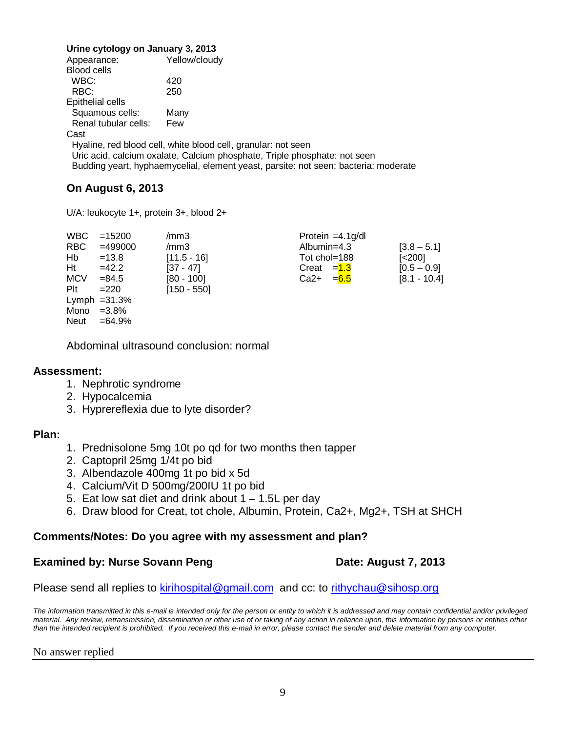#### **Urine cytology on January 3, 2013**

| Appearance:                                                               | Yellow/cloudy                                                                       |  |  |
|---------------------------------------------------------------------------|-------------------------------------------------------------------------------------|--|--|
| Blood cells                                                               |                                                                                     |  |  |
| WBC:                                                                      | 420                                                                                 |  |  |
| RBC:                                                                      | 250                                                                                 |  |  |
| Epithelial cells                                                          |                                                                                     |  |  |
| Squamous cells:                                                           | Many                                                                                |  |  |
| Renal tubular cells:                                                      | Few                                                                                 |  |  |
| Cast                                                                      |                                                                                     |  |  |
|                                                                           | Hyaline, red blood cell, white blood cell, granular: not seen                       |  |  |
| Uric acid, calcium oxalate, Calcium phosphate, Triple phosphate: not seen |                                                                                     |  |  |
|                                                                           | Budding yeart, hyphaemycelial, element yeast, parsite: not seen; bacteria: moderate |  |  |
|                                                                           |                                                                                     |  |  |

## **On August 6, 2013**

U/A: leukocyte 1+, protein 3+, blood 2+

| <b>WBC</b> | $=15200$        | /mm3          | Protein $=4.1$ g/dl |                |
|------------|-----------------|---------------|---------------------|----------------|
| <b>RBC</b> | $=499000$       | /mm3          | Albumin= $4.3$      | $[3.8 - 5.1]$  |
| Hb         | $=13.8$         | $[11.5 - 16]$ | Tot chol=188        | $[<200]$       |
| Ht         | $=42.2$         | $[37 - 47]$   | Creat $=1.3$        | $[0.5 - 0.9]$  |
| <b>MCV</b> | $= 84.5$        | $[80 - 100]$  | $Ca2+$<br>$= 6.5$   | $[8.1 - 10.4]$ |
| Plt        | $=220$          | $[150 - 550]$ |                     |                |
|            | Lymph $=31.3\%$ |               |                     |                |
|            | Mono $=3.8\%$   |               |                     |                |
| Neut       | =64.9%          |               |                     |                |

Abdominal ultrasound conclusion: normal

### **Assessment:**

- 1. Nephrotic syndrome
- 2. Hypocalcemia
- 3. Hyprereflexia due to lyte disorder?

## **Plan:**

- 1. Prednisolone 5mg 10t po qd for two months then tapper
- 2. Captopril 25mg 1/4t po bid
- 3. Albendazole 400mg 1t po bid x 5d
- 4. Calcium/Vit D 500mg/200IU 1t po bid
- 5. Eat low sat diet and drink about  $1 1.5L$  per day
- 6. Draw blood for Creat, tot chole, Albumin, Protein, Ca2+, Mg2+, TSH at SHCH

## **Comments/Notes: Do you agree with my assessment and plan?**

## **Examined by: Nurse Sovann Peng Date: August 7, 2013**

Please send all replies to **kirihospital@gmail.com** and cc: to [rithychau@sihosp.org](mailto:rithychau@sihosp.org)

*The information transmitted in this e-mail is intended only for the person or entity to which it is addressed and may contain confidential and/or privileged*  material. Any review, retransmission, dissemination or other use of or taking of any action in reliance upon, this information by persons or entities other *than the intended recipient is prohibited. If you received this e-mail in error, please contact the sender and delete material from any computer.*

#### No answer replied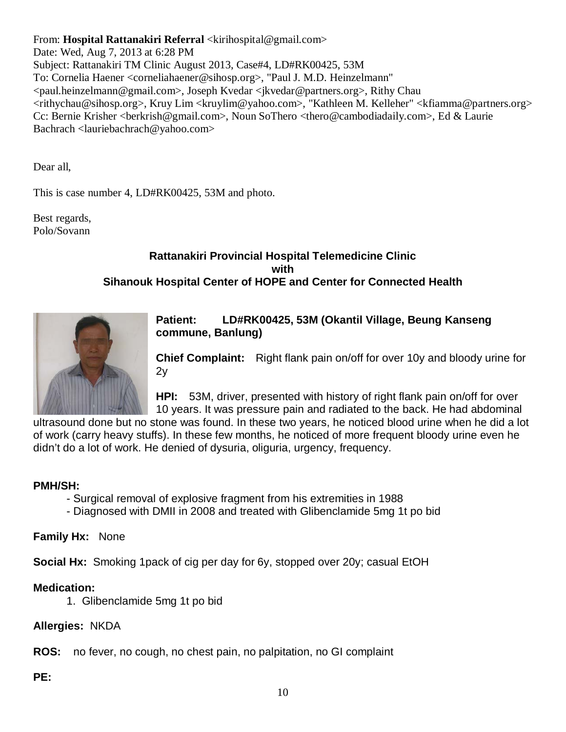From: **Hospital Rattanakiri Referral** <kirihospital@gmail.com>

Date: Wed, Aug 7, 2013 at 6:28 PM Subject: Rattanakiri TM Clinic August 2013, Case#4, LD#RK00425, 53M To: Cornelia Haener <corneliahaener@sihosp.org>, "Paul J. M.D. Heinzelmann" <paul.heinzelmann@gmail.com>, Joseph Kvedar <jkvedar@partners.org>, Rithy Chau <rithychau@sihosp.org>, Kruy Lim <kruylim@yahoo.com>, "Kathleen M. Kelleher" <kfiamma@partners.org> Cc: Bernie Krisher <br/> <br/>derkrish@gmail.com>, Noun SoThero <thero@cambodiadaily.com>, Ed & Laurie Bachrach <lauriebachrach@yahoo.com>

Dear all,

This is case number 4, LD#RK00425, 53M and photo.

Best regards, Polo/Sovann

## **Rattanakiri Provincial Hospital Telemedicine Clinic with Sihanouk Hospital Center of HOPE and Center for Connected Health**



**Patient: LD#RK00425, 53M (Okantil Village, Beung Kanseng commune, Banlung)** 

**Chief Complaint:** Right flank pain on/off for over 10y and bloody urine for  $2y$ 

**HPI:** 53M, driver, presented with history of right flank pain on/off for over 10 years. It was pressure pain and radiated to the back. He had abdominal

ultrasound done but no stone was found. In these two years, he noticed blood urine when he did a lot of work (carry heavy stuffs). In these few months, he noticed of more frequent bloody urine even he didn't do a lot of work. He denied of dysuria, oliguria, urgency, frequency.

## **PMH/SH:**

- Surgical removal of explosive fragment from his extremities in 1988
- Diagnosed with DMII in 2008 and treated with Glibenclamide 5mg 1t po bid

**Family Hx:** None

**Social Hx:** Smoking 1pack of cig per day for 6y, stopped over 20y; casual EtOH

## **Medication:**

1. Glibenclamide 5mg 1t po bid

**Allergies:** NKDA

**ROS:** no fever, no cough, no chest pain, no palpitation, no GI complaint

**PE:**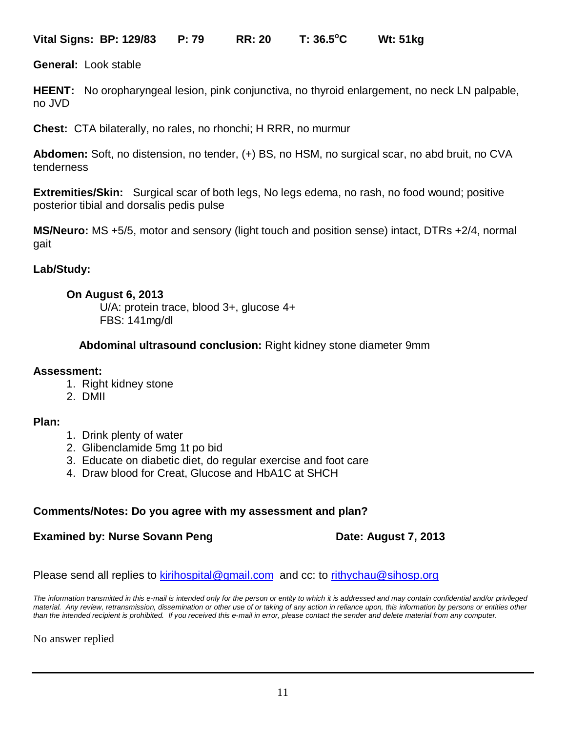**Vital Signs: BP: 129/83 P: 79 RR: 20 T: 36.5<sup>o</sup> C Wt: 51kg** 

**General:** Look stable

**HEENT:** No oropharyngeal lesion, pink conjunctiva, no thyroid enlargement, no neck LN palpable, no JVD

**Chest:** CTA bilaterally, no rales, no rhonchi; H RRR, no murmur

**Abdomen:** Soft, no distension, no tender, (+) BS, no HSM, no surgical scar, no abd bruit, no CVA tenderness

**Extremities/Skin:** Surgical scar of both legs, No legs edema, no rash, no food wound; positive posterior tibial and dorsalis pedis pulse

**MS/Neuro:** MS +5/5, motor and sensory (light touch and position sense) intact, DTRs +2/4, normal gait

## **Lab/Study:**

## **On August 6, 2013**

U/A: protein trace, blood 3+, glucose 4+ FBS: 141mg/dl

**Abdominal ultrasound conclusion:** Right kidney stone diameter 9mm

## **Assessment:**

- 1. Right kidney stone
- 2. DMII

## **Plan:**

- 1. Drink plenty of water
- 2. Glibenclamide 5mg 1t po bid
- 3. Educate on diabetic diet, do regular exercise and foot care
- 4. Draw blood for Creat, Glucose and HbA1C at SHCH

## **Comments/Notes: Do you agree with my assessment and plan?**

## **Examined by: Nurse Sovann Peng Date: August 7, 2013**

Please send all replies to [kirihospital@gmail.com](mailto:kirihospital@gmail.com) and cc: to [rithychau@sihosp.org](mailto:rithychau@sihosp.org)

*The information transmitted in this e-mail is intended only for the person or entity to which it is addressed and may contain confidential and/or privileged material. Any review, retransmission, dissemination or other use of or taking of any action in reliance upon, this information by persons or entities other than the intended recipient is prohibited. If you received this e-mail in error, please contact the sender and delete material from any computer.*

No answer replied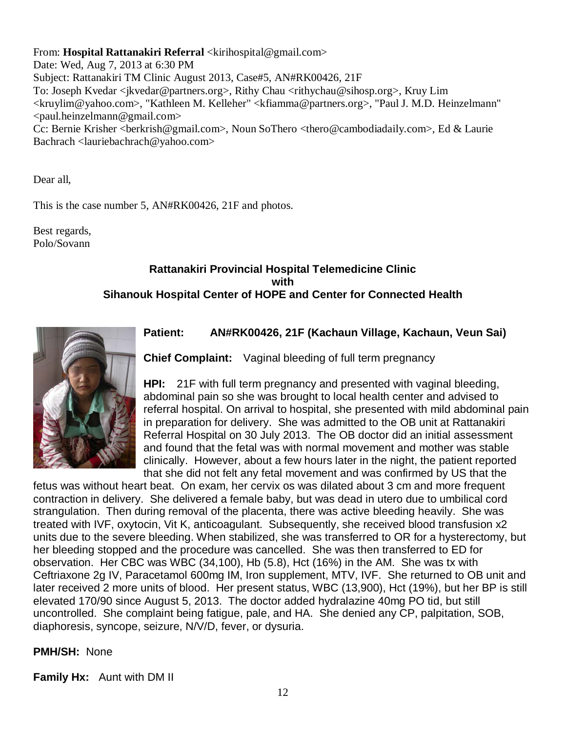From: **Hospital Rattanakiri Referral** <kirihospital@gmail.com>

Date: Wed, Aug 7, 2013 at 6:30 PM Subject: Rattanakiri TM Clinic August 2013, Case#5, AN#RK00426, 21F To: Joseph Kvedar <jkvedar@partners.org>, Rithy Chau <rithychau@sihosp.org>, Kruy Lim <kruylim@yahoo.com>, "Kathleen M. Kelleher" <kfiamma@partners.org>, "Paul J. M.D. Heinzelmann"  $\epsilon$  paul.heinzelmann@gmail.com> Cc: Bernie Krisher <br/> <br/>berkrish@gmail.com>, Noun SoThero <thero@cambodiadaily.com>, Ed & Laurie Bachrach <lauriebachrach@yahoo.com>

Dear all,

This is the case number 5, AN#RK00426, 21F and photos.

Best regards, Polo/Sovann

## **Rattanakiri Provincial Hospital Telemedicine Clinic with Sihanouk Hospital Center of HOPE and Center for Connected Health**



## **Patient: AN#RK00426, 21F (Kachaun Village, Kachaun, Veun Sai)**

**Chief Complaint:** Vaginal bleeding of full term pregnancy

**HPI:** 21F with full term pregnancy and presented with vaginal bleeding, abdominal pain so she was brought to local health center and advised to referral hospital. On arrival to hospital, she presented with mild abdominal pain in preparation for delivery. She was admitted to the OB unit at Rattanakiri Referral Hospital on 30 July 2013. The OB doctor did an initial assessment and found that the fetal was with normal movement and mother was stable clinically. However, about a few hours later in the night, the patient reported that she did not felt any fetal movement and was confirmed by US that the

fetus was without heart beat. On exam, her cervix os was dilated about 3 cm and more frequent contraction in delivery. She delivered a female baby, but was dead in utero due to umbilical cord strangulation. Then during removal of the placenta, there was active bleeding heavily. She was treated with IVF, oxytocin, Vit K, anticoagulant. Subsequently, she received blood transfusion x2 units due to the severe bleeding. When stabilized, she was transferred to OR for a hysterectomy, but her bleeding stopped and the procedure was cancelled. She was then transferred to ED for observation. Her CBC was WBC (34,100), Hb (5.8), Hct (16%) in the AM. She was tx with Ceftriaxone 2g IV, Paracetamol 600mg IM, Iron supplement, MTV, IVF. She returned to OB unit and later received 2 more units of blood. Her present status, WBC (13,900), Hct (19%), but her BP is still elevated 170/90 since August 5, 2013. The doctor added hydralazine 40mg PO tid, but still uncontrolled. She complaint being fatigue, pale, and HA. She denied any CP, palpitation, SOB, diaphoresis, syncope, seizure, N/V/D, fever, or dysuria.

## **PMH/SH:** None

**Family Hx:** Aunt with DM II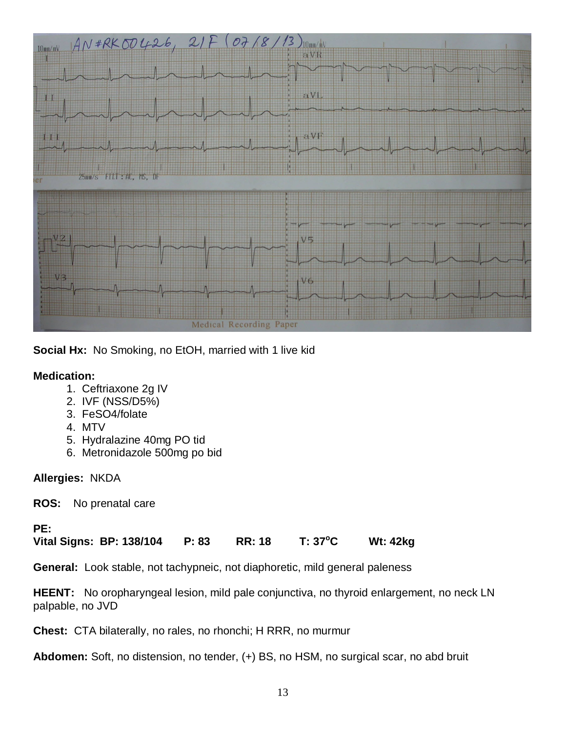

**Social Hx:** No Smoking, no EtOH, married with 1 live kid

## **Medication:**

- 1. Ceftriaxone 2g IV
- 2. IVF (NSS/D5%)
- 3. FeSO4/folate
- 4. MTV
- 5. Hydralazine 40mg PO tid
- 6. Metronidazole 500mg po bid

## **Allergies:** NKDA

**ROS:** No prenatal care

## **PE:**

**Vital Signs: BP: 138/104 P: 83 RR: 18 T: 37<sup>o</sup> C Wt: 42kg** 

**General:** Look stable, not tachypneic, not diaphoretic, mild general paleness

**HEENT:** No oropharyngeal lesion, mild pale conjunctiva, no thyroid enlargement, no neck LN palpable, no JVD

**Chest:** CTA bilaterally, no rales, no rhonchi; H RRR, no murmur

**Abdomen:** Soft, no distension, no tender, (+) BS, no HSM, no surgical scar, no abd bruit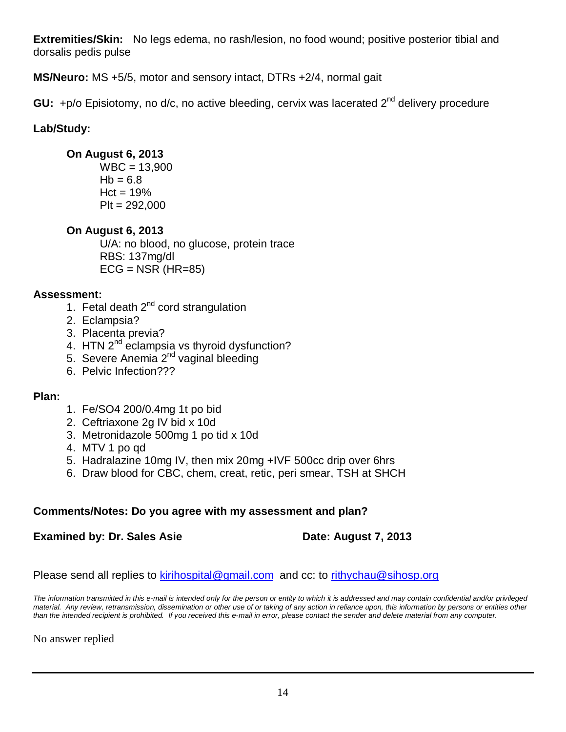**Extremities/Skin:** No legs edema, no rash/lesion, no food wound; positive posterior tibial and dorsalis pedis pulse

**MS/Neuro:** MS +5/5, motor and sensory intact, DTRs +2/4, normal gait

**GU:** +p/o Episiotomy, no d/c, no active bleeding, cervix was lacerated 2<sup>nd</sup> delivery procedure

## **Lab/Study:**

## **On August 6, 2013**

 $WBC = 13,900$  $Hb = 6.8$  $Hct = 19%$  $P$ It = 292,000

## **On August 6, 2013**

U/A: no blood, no glucose, protein trace RBS: 137mg/dl  $ECG = NSR$  (HR=85)

## **Assessment:**

- 1. Fetal death  $2^{nd}$  cord strangulation
- 2. Eclampsia?
- 3. Placenta previa?
- 4. HTN 2<sup>nd</sup> eclampsia vs thyroid dysfunction?
- 5. Severe Anemia 2<sup>nd</sup> vaginal bleeding
- 6. Pelvic Infection???

## **Plan:**

- 1. Fe/SO4 200/0.4mg 1t po bid
- 2. Ceftriaxone 2g IV bid x 10d
- 3. Metronidazole 500mg 1 po tid x 10d
- 4. MTV 1 po qd
- 5. Hadralazine 10mg IV, then mix 20mg +IVF 500cc drip over 6hrs
- 6. Draw blood for CBC, chem, creat, retic, peri smear, TSH at SHCH

## **Comments/Notes: Do you agree with my assessment and plan?**

## **Examined by: Dr. Sales Asie <b>Date: August 7, 2013**

## Please send all replies to [kirihospital@gmail.com](mailto:kirihospital@gmail.com) and cc: to [rithychau@sihosp.org](mailto:rithychau@sihosp.org)

*The information transmitted in this e-mail is intended only for the person or entity to which it is addressed and may contain confidential and/or privileged material. Any review, retransmission, dissemination or other use of or taking of any action in reliance upon, this information by persons or entities other than the intended recipient is prohibited. If you received this e-mail in error, please contact the sender and delete material from any computer.*

No answer replied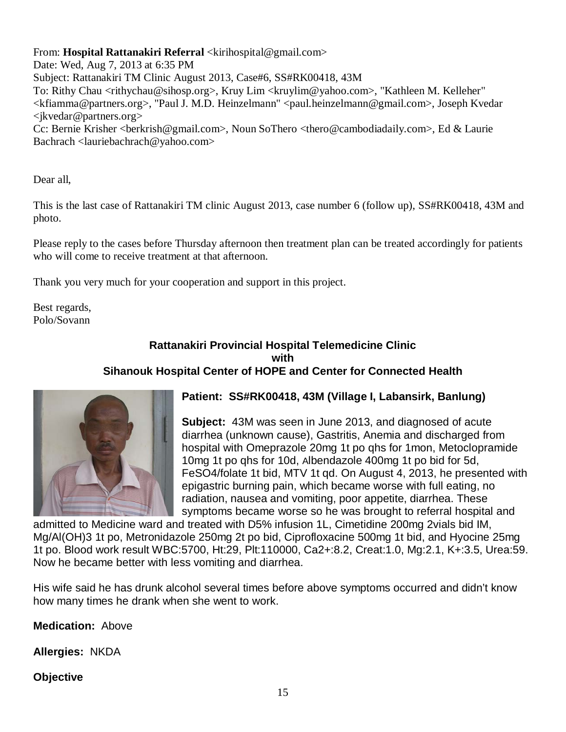## From: **Hospital Rattanakiri Referral** <kirihospital@gmail.com>

Date: Wed, Aug 7, 2013 at 6:35 PM Subject: Rattanakiri TM Clinic August 2013, Case#6, SS#RK00418, 43M To: Rithy Chau <rithychau@sihosp.org>, Kruy Lim <kruylim@yahoo.com>, "Kathleen M. Kelleher" <kfiamma@partners.org>, "Paul J. M.D. Heinzelmann" <paul.heinzelmann@gmail.com>, Joseph Kvedar <jkvedar@partners.org>

Cc: Bernie Krisher <br/> <br/>berkrish@gmail.com>, Noun SoThero <thero@cambodiadaily.com>, Ed & Laurie Bachrach <lauriebachrach@yahoo.com>

Dear all,

This is the last case of Rattanakiri TM clinic August 2013, case number 6 (follow up),  $SS#RK00418$ , 43M and photo.

Please reply to the cases before Thursday afternoon then treatment plan can be treated accordingly for patients who will come to receive treatment at that afternoon.

Thank you very much for your cooperation and support in this project.

Best regards, Polo/Sovann

## **Rattanakiri Provincial Hospital Telemedicine Clinic with Sihanouk Hospital Center of HOPE and Center for Connected Health**



## **Patient: SS#RK00418, 43M (Village I, Labansirk, Banlung)**

**Subject:** 43M was seen in June 2013, and diagnosed of acute diarrhea (unknown cause), Gastritis, Anemia and discharged from hospital with Omeprazole 20mg 1t po qhs for 1mon, Metoclopramide 10mg 1t po qhs for 10d, Albendazole 400mg 1t po bid for 5d, FeSO4/folate 1t bid, MTV 1t qd. On August 4, 2013, he presented with epigastric burning pain, which became worse with full eating, no radiation, nausea and vomiting, poor appetite, diarrhea. These symptoms became worse so he was brought to referral hospital and

admitted to Medicine ward and treated with D5% infusion 1L, Cimetidine 200mg 2vials bid IM, Mg/Al(OH)3 1t po, Metronidazole 250mg 2t po bid, Ciprofloxacine 500mg 1t bid, and Hyocine 25mg 1t po. Blood work result WBC:5700, Ht:29, Plt:110000, Ca2+:8.2, Creat:1.0, Mg:2.1, K+:3.5, Urea:59. Now he became better with less vomiting and diarrhea.

His wife said he has drunk alcohol several times before above symptoms occurred and didn't know how many times he drank when she went to work.

**Medication:** Above

**Allergies:** NKDA

**Objective**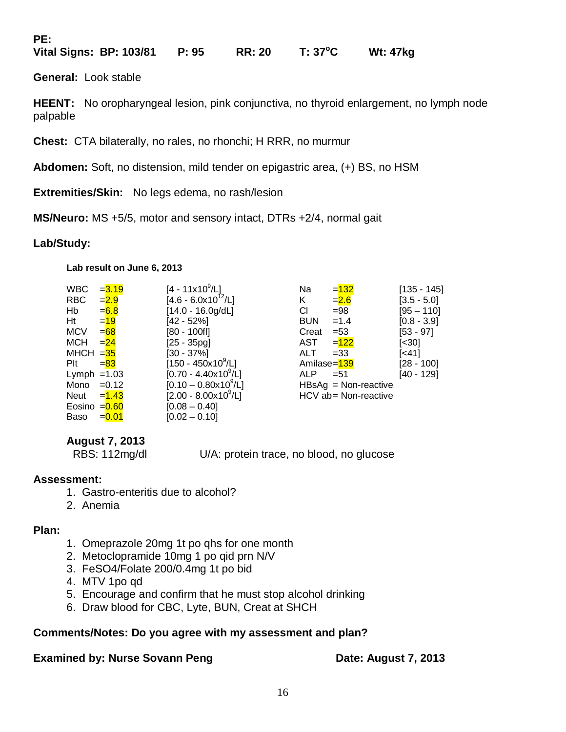**PE:**

**Vital Signs: BP: 103/81 P: 95 RR: 20 T: 37<sup>o</sup> C Wt: 47kg** 

**General:** Look stable

**HEENT:** No oropharyngeal lesion, pink conjunctiva, no thyroid enlargement, no lymph node palpable

**Chest:** CTA bilaterally, no rales, no rhonchi; H RRR, no murmur

**Abdomen:** Soft, no distension, mild tender on epigastric area, (+) BS, no HSM

**Extremities/Skin:** No legs edema, no rash/lesion

**MS/Neuro:** MS +5/5, motor and sensory intact, DTRs +2/4, normal gait

## **Lab/Study:**

**Lab result on June 6, 2013**

| <b>WBC</b>    | $= 3.19$ | $[4 - 11x10^9/L]$                | Na          | $= 132$                | $[135 - 145]$ |
|---------------|----------|----------------------------------|-------------|------------------------|---------------|
| <b>RBC</b>    | $= 2.9$  | $[4.6 - 6.0x10^{12}/L]$          | Κ           | $= 2.6$                | $[3.5 - 5.0]$ |
| Hb            | $= 6.8$  | $[14.0 - 16.0g/dL]$              | CI.         | $= 98$                 | [95 – 110]    |
| Ht            | $=19$    | [42 - 52%]                       | <b>BUN</b>  | $=1.4$                 | $[0.8 - 3.9]$ |
| <b>MCV</b>    | $= 68$   | [80 - 100fl]                     | Creat       | $= 53$                 | [53 - 97]     |
| <b>MCH</b>    | $= 24$   | $[25 - 35pq]$                    | AST         | $=122$                 | [<30]         |
| MHCH $=35$    |          | [30 - 37%]                       | ALT         | $= 33$                 | [<41]         |
| Plt           | $= 83$   | $[150 - 450 \times 10^9/L]$      | Amilase=139 |                        | [28 - 100]    |
| Lymph $=1.03$ |          | $[0.70 - 4.40 \times 10^9$ /L]   | <b>ALP</b>  | $= 51$                 | [40 - 129]    |
| Mono          | $=0.12$  | $[0.10 - 0.80 \times 10^9$ /L]   |             | $HBSAg = Non-reactive$ |               |
| Neut          | $= 1.43$ | [2.00 - 8.00x10 <sup>9</sup> /L] |             | HCV ab= Non-reactive   |               |
| Eosino        | $= 0.60$ | $[0.08 - 0.40]$                  |             |                        |               |
| Baso          | $= 0.01$ | $[0.02 - 0.10]$                  |             |                        |               |
|               |          |                                  |             |                        |               |

## **August 7, 2013**

RBS: 112mg/dl U/A: protein trace, no blood, no glucose

## **Assessment:**

- 1. Gastro-enteritis due to alcohol?
- 2. Anemia

## **Plan:**

- 1. Omeprazole 20mg 1t po qhs for one month
- 2. Metoclopramide 10mg 1 po qid prn N/V
- 3. FeSO4/Folate 200/0.4mg 1t po bid
- 4. MTV 1po qd
- 5. Encourage and confirm that he must stop alcohol drinking
- 6. Draw blood for CBC, Lyte, BUN, Creat at SHCH

## **Comments/Notes: Do you agree with my assessment and plan?**

## **Examined by: Nurse Sovann Peng Date: August 7, 2013**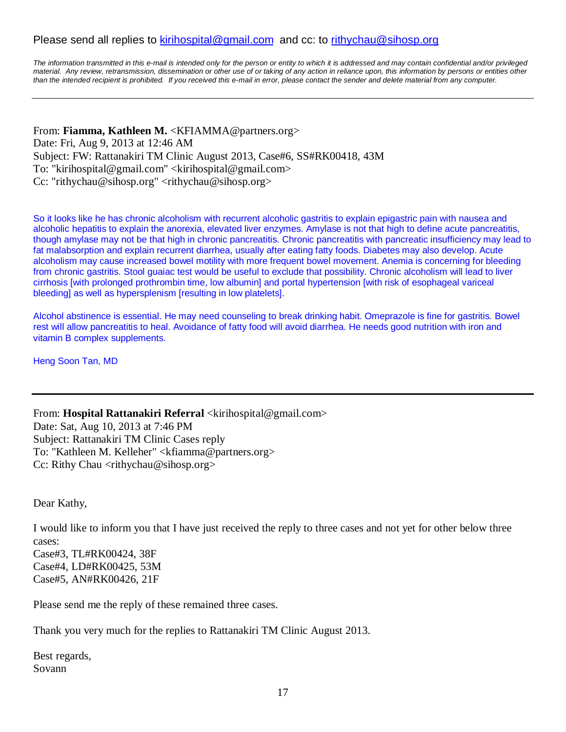## Please send all replies to [kirihospital@gmail.com](mailto:kirihospital@gmail.com) and cc: to [rithychau@sihosp.org](mailto:rithychau@sihosp.org)

*The information transmitted in this e-mail is intended only for the person or entity to which it is addressed and may contain confidential and/or privileged material. Any review, retransmission, dissemination or other use of or taking of any action in reliance upon, this information by persons or entities other than the intended recipient is prohibited. If you received this e-mail in error, please contact the sender and delete material from any computer.*

From: **Fiamma, Kathleen M.** <KFIAMMA@partners.org> Date: Fri, Aug 9, 2013 at 12:46 AM Subject: FW: Rattanakiri TM Clinic August 2013, Case#6, SS#RK00418, 43M To: "kirihospital@gmail.com" <kirihospital@gmail.com> Cc: "rithychau@sihosp.org" <rithychau@sihosp.org>

So it looks like he has chronic alcoholism with recurrent alcoholic gastritis to explain epigastric pain with nausea and alcoholic hepatitis to explain the anorexia, elevated liver enzymes. Amylase is not that high to define acute pancreatitis, though amylase may not be that high in chronic pancreatitis. Chronic pancreatitis with pancreatic insufficiency may lead to fat malabsorption and explain recurrent diarrhea, usually after eating fatty foods. Diabetes may also develop. Acute alcoholism may cause increased bowel motility with more frequent bowel movement. Anemia is concerning for bleeding from chronic gastritis. Stool guaiac test would be useful to exclude that possibility. Chronic alcoholism will lead to liver cirrhosis [with prolonged prothrombin time, low albumin] and portal hypertension [with risk of esophageal variceal bleeding] as well as hypersplenism [resulting in low platelets].

Alcohol abstinence is essential. He may need counseling to break drinking habit. Omeprazole is fine for gastritis. Bowel rest will allow pancreatitis to heal. Avoidance of fatty food will avoid diarrhea. He needs good nutrition with iron and vitamin B complex supplements.

Heng Soon Tan, MD

From: **Hospital Rattanakiri Referral** <kirihospital@gmail.com> Date: Sat, Aug 10, 2013 at 7:46 PM Subject: Rattanakiri TM Clinic Cases reply To: "Kathleen M. Kelleher" <kfiamma@partners.org> Cc: Rithy Chau <rithychau@sihosp.org>

Dear Kathy,

I would like to inform you that I have just received the reply to three cases and not yet for other below three cases:

Case#3, TL#RK00424, 38F Case#4, LD#RK00425, 53M Case#5, AN#RK00426, 21F

Please send me the reply of these remained three cases.

Thank you very much for the replies to Rattanakiri TM Clinic August 2013.

Best regards, Sovann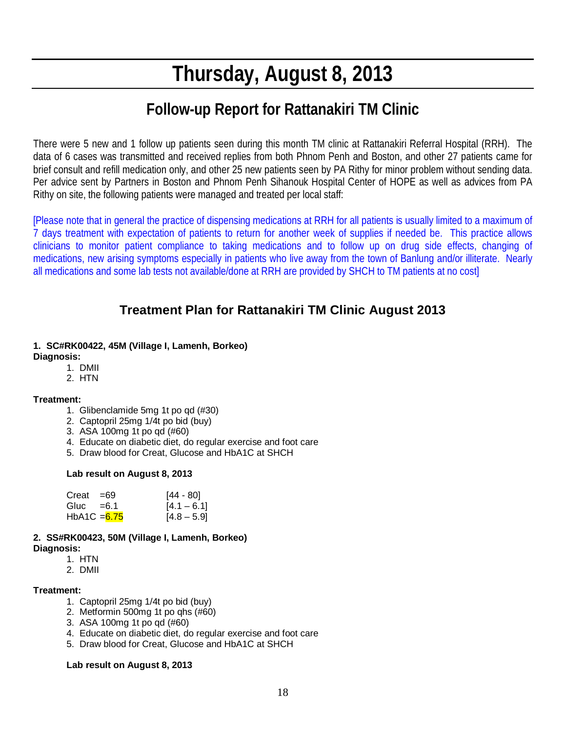# **Thursday, August 8, 2013**

## **Follow-up Report for Rattanakiri TM Clinic**

There were 5 new and 1 follow up patients seen during this month TM clinic at Rattanakiri Referral Hospital (RRH). The data of 6 cases was transmitted and received replies from both Phnom Penh and Boston, and other 27 patients came for brief consult and refill medication only, and other 25 new patients seen by PA Rithy for minor problem without sending data. Per advice sent by Partners in Boston and Phnom Penh Sihanouk Hospital Center of HOPE as well as advices from PA Rithy on site, the following patients were managed and treated per local staff:

[Please note that in general the practice of dispensing medications at RRH for all patients is usually limited to a maximum of 7 days treatment with expectation of patients to return for another week of supplies if needed be. This practice allows clinicians to monitor patient compliance to taking medications and to follow up on drug side effects, changing of medications, new arising symptoms especially in patients who live away from the town of Banlung and/or illiterate. Nearly all medications and some lab tests not available/done at RRH are provided by SHCH to TM patients at no cost]

## **Treatment Plan for Rattanakiri TM Clinic August 2013**

#### **1. SC#RK00422, 45M (Village I, Lamenh, Borkeo) Diagnosis:**

- 1. DMII
- 2. HTN

## **Treatment:**

- 1. Glibenclamide 5mg 1t po qd (#30)
- 2. Captopril 25mg 1/4t po bid (buy)
- 3. ASA 100mg 1t po qd (#60)
- 4. Educate on diabetic diet, do regular exercise and foot care
- 5. Draw blood for Creat, Glucose and HbA1C at SHCH

## **Lab result on August 8, 2013**

| $Creat = 69$   | [44 - 80]     |
|----------------|---------------|
| Gluc $=6.1$    | $[4.1 - 6.1]$ |
| HbA1C = $6.75$ | $[4.8 - 5.9]$ |

## **2. SS#RK00423, 50M (Village I, Lamenh, Borkeo)**

**Diagnosis:**

- 1. HTN
- 2. DMII

#### **Treatment:**

- 1. Captopril 25mg 1/4t po bid (buy)
- 2. Metformin 500mg 1t po qhs (#60)
- 3. ASA 100mg 1t po qd (#60)
- 4. Educate on diabetic diet, do regular exercise and foot care
- 5. Draw blood for Creat, Glucose and HbA1C at SHCH

#### **Lab result on August 8, 2013**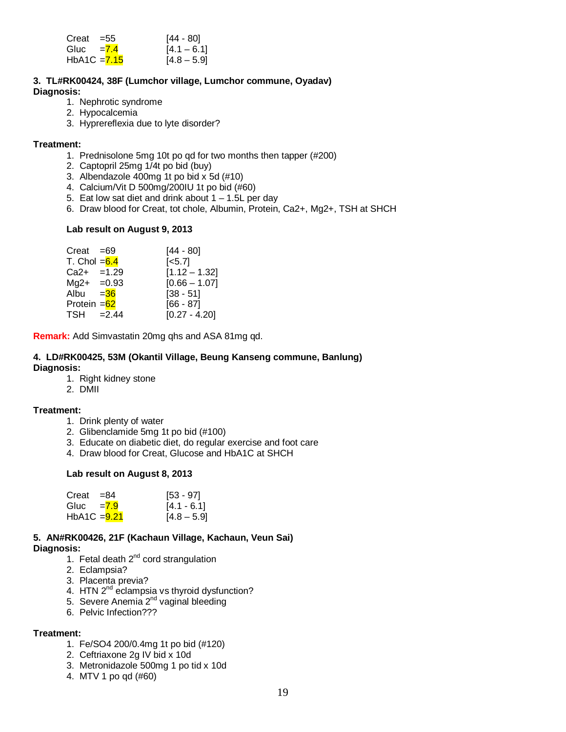| $Creat = 55$   | [44 - 80]     |
|----------------|---------------|
| Gluc $=7.4$    | $[4.1 - 6.1]$ |
| $HbA1C = 7.15$ | $[4.8 - 5.9]$ |

#### **3. TL#RK00424, 38F (Lumchor village, Lumchor commune, Oyadav) Diagnosis:**

- 1. Nephrotic syndrome
- 2. Hypocalcemia
- 3. Hyprereflexia due to lyte disorder?

#### **Treatment:**

- 1. Prednisolone 5mg 10t po qd for two months then tapper (#200)
- 2. Captopril 25mg 1/4t po bid (buy)
- 3. Albendazole 400mg 1t po bid x 5d (#10)
- 4. Calcium/Vit D 500mg/200IU 1t po bid (#60)
- 5. Eat low sat diet and drink about  $1 1.5L$  per day
- 6. Draw blood for Creat, tot chole, Albumin, Protein, Ca2+, Mg2+, TSH at SHCH

#### **Lab result on August 9, 2013**

| $Creat = 69$   | $[44 - 80]$     |
|----------------|-----------------|
| T. Chol $=6.4$ | $[-5.7]$        |
| $Ca2+ =1.29$   | $[1.12 - 1.32]$ |
| $Mg2+ =0.93$   | $[0.66 - 1.07]$ |
| Albu = 36      | $[38 - 51]$     |
| Protein $=62$  | $[66 - 87]$     |
| $TSH = 2.44$   | $[0.27 - 4.20]$ |

**Remark:** Add Simvastatin 20mg qhs and ASA 81mg qd.

#### **4. LD#RK00425, 53M (Okantil Village, Beung Kanseng commune, Banlung) Diagnosis:**

- 1. Right kidney stone
- 2. DMII

#### **Treatment:**

- 1. Drink plenty of water
- 2. Glibenclamide 5mg 1t po bid (#100)
- 3. Educate on diabetic diet, do regular exercise and foot care
- 4. Draw blood for Creat, Glucose and HbA1C at SHCH

#### **Lab result on August 8, 2013**

| Creat $=84$    | $[53 - 97]$   |
|----------------|---------------|
| Gluc = $7.9$   | $[4.1 - 6.1]$ |
| $HbA1C = 9.21$ | $[4.8 - 5.9]$ |

## **5. AN#RK00426, 21F (Kachaun Village, Kachaun, Veun Sai)**

- **Diagnosis:**
	- 1. Fetal death  $2^{nd}$  cord strangulation
	- 2. Eclampsia?
	- 3. Placenta previa?
	- 4. HTN 2<sup>nd</sup> eclampsia vs thyroid dysfunction?
	- 5. Severe Anemia 2<sup>nd</sup> vaginal bleeding
	- 6. Pelvic Infection???

#### **Treatment:**

- 1. Fe/SO4 200/0.4mg 1t po bid (#120)
- 2. Ceftriaxone 2g IV bid x 10d
- 3. Metronidazole 500mg 1 po tid x 10d
- 4. MTV 1 po qd (#60)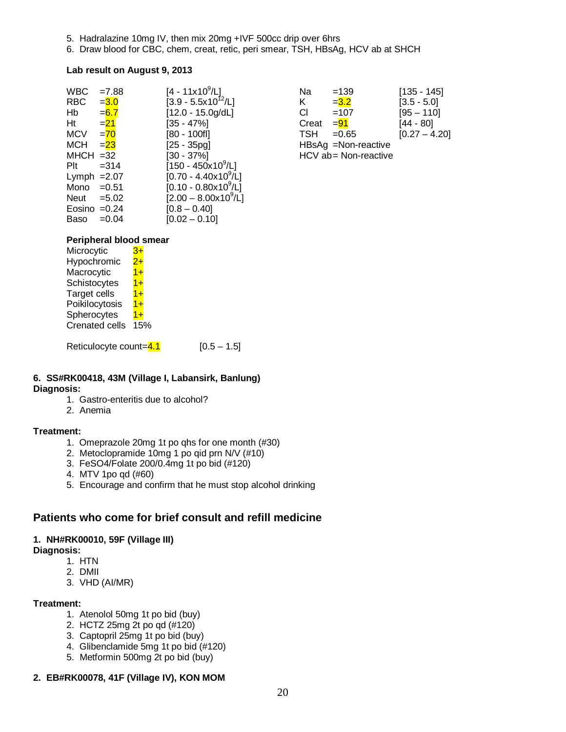- 5. Hadralazine 10mg IV, then mix 20mg +IVF 500cc drip over 6hrs
- 6. Draw blood for CBC, chem, creat, retic, peri smear, TSH, HBsAg, HCV ab at SHCH

#### **Lab result on August 9, 2013**

| <b>WBC</b>     | $=7.88$  | $[4 - 11x10^9/L]$                    | Na         | $=139$               | $[135 - 145]$   |
|----------------|----------|--------------------------------------|------------|----------------------|-----------------|
| <b>RBC</b>     | $= 3.0$  | $[3.9 - 5.5x10^{12}/L]$              | Κ          | $= 3.2$              | $[3.5 - 5.0]$   |
| Hb             | $= 6.7$  | $[12.0 - 15.0g/dL]$                  | CI         | $=107$               | $[95 - 110]$    |
| Ht             | $= 21$   | [35 - 47%]                           | Creat      | $= 91$               | [44 - 80]       |
| <b>MCV</b>     | $= 70$   | [80 - 100fl]                         | <b>TSH</b> | $=0.65$              | $[0.27 - 4.20]$ |
| <b>MCH</b>     | $= 23$   | [25 - 35pg]                          |            | HBsAg =Non-reactive  |                 |
| $MHCH = 32$    |          | [30 - 37%]                           |            | HCV ab= Non-reactive |                 |
| Plt            | $= 314$  | $[150 - 450 \times 10^9$ /L]         |            |                      |                 |
| Lymph $=2.07$  |          | $[0.70 - 4.40 \times 10^9/\text{L}]$ |            |                      |                 |
| Mono           | $=0.51$  | $[0.10 - 0.80 \times 10^{9} / L]$    |            |                      |                 |
| Neut           | $= 5.02$ | $[2.00 - 8.00 \times 10^9/\text{L}]$ |            |                      |                 |
| Eosino $=0.24$ |          | $[0.8 - 0.40]$                       |            |                      |                 |
| Baso           | $=0.04$  | $[0.02 - 0.10]$                      |            |                      |                 |

|                            | Na         | $=139$               | $[135 - 145]$   |
|----------------------------|------------|----------------------|-----------------|
| /L]<br>0 <sup>12</sup> /L] | K.         | $= 3.2$              | $[3.5 - 5.0]$   |
| )g/dL]                     | СI         | $=107$               | $[95 - 110]$    |
|                            | Creat      | $= 91$               | $[44 - 80]$     |
|                            | <b>TSH</b> | $= 0.65$             | $[0.27 - 4.20]$ |
|                            |            | HBsAg =Non-reactive  |                 |
|                            |            | HCV ab= Non-reactive |                 |

#### **Peripheral blood smear**

| Microcytic            | 3+    |
|-----------------------|-------|
| Hypochromic           | $2+$  |
| Macrocytic            | $1 +$ |
| Schistocytes          | $1+$  |
| Target cells          | $1+$  |
| Poikilocytosis        | $1+$  |
| Spherocytes           | $1 +$ |
| <b>Crenated cells</b> | 15%   |
|                       |       |

Reticulocyte count= $4.1$  [0.5 – 1.5]

#### **6. SS#RK00418, 43M (Village I, Labansirk, Banlung) Diagnosis:**

- 1. Gastro-enteritis due to alcohol?
- 2. Anemia

#### **Treatment:**

- 1. Omeprazole 20mg 1t po qhs for one month (#30)
- 2. Metoclopramide 10mg 1 po qid prn N/V (#10)
- 3. FeSO4/Folate 200/0.4mg 1t po bid (#120)
- 4. MTV 1po qd (#60)
- 5. Encourage and confirm that he must stop alcohol drinking

## **Patients who come for brief consult and refill medicine**

#### **1. NH#RK00010, 59F (Village III)**

#### **Diagnosis:**

- 1. HTN
- 2. DMII
- 3. VHD (AI/MR)

#### **Treatment:**

- 1. Atenolol 50mg 1t po bid (buy)
- 2. HCTZ 25mg 2t po qd (#120)
- 3. Captopril 25mg 1t po bid (buy)
- 4. Glibenclamide 5mg 1t po bid (#120)
- 5. Metformin 500mg 2t po bid (buy)

#### **2. EB#RK00078, 41F (Village IV), KON MOM**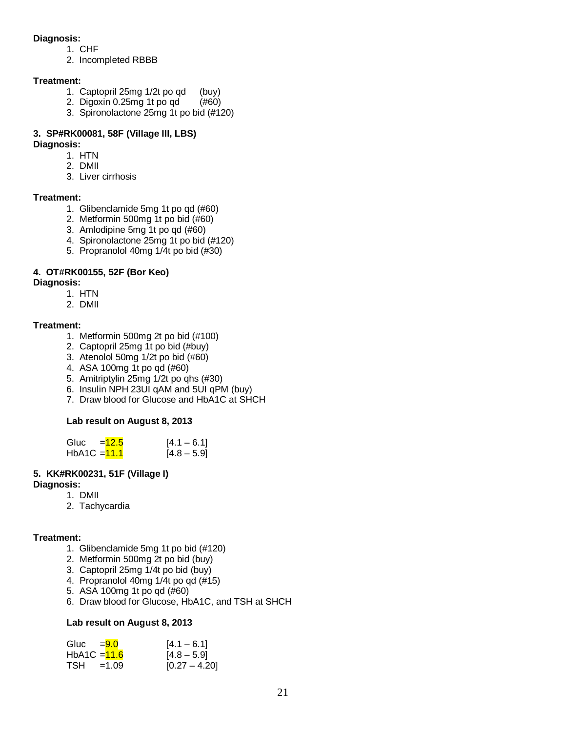#### **Diagnosis:**

- 1. CHF
- 2. Incompleted RBBB

#### **Treatment:**

- 1. Captopril 25mg 1/2t po qd (buy)<br>2. Digoxin 0.25mg 1t po qd (#60)
- 2. Digoxin 0.25mg 1t po qd
- 3. Spironolactone 25mg 1t po bid (#120)

## **3. SP#RK00081, 58F (Village III, LBS)**

#### **Diagnosis:**

- 1. HTN
- 2. DMII
- 3. Liver cirrhosis

#### **Treatment:**

- 1. Glibenclamide 5mg 1t po qd (#60)
- 2. Metformin 500mg 1t po bid (#60)
- 3. Amlodipine 5mg 1t po qd (#60)
- 4. Spironolactone 25mg 1t po bid (#120)
- 5. Propranolol 40mg 1/4t po bid (#30)

## **4. OT#RK00155, 52F (Bor Keo)**

#### **Diagnosis:**

- 1. HTN
- 2. DMII

#### **Treatment:**

- 1. Metformin 500mg 2t po bid (#100)
- 2. Captopril 25mg 1t po bid (#buy)
- 3. Atenolol 50mg 1/2t po bid (#60)
- 4. ASA 100mg 1t po qd (#60)
- 5. Amitriptylin 25mg 1/2t po qhs (#30)
- 6. Insulin NPH 23UI qAM and 5UI qPM (buy)
- 7. Draw blood for Glucose and HbA1C at SHCH

## **Lab result on August 8, 2013**

| Gluc           | $=12.5$ | $[4.1 - 6.1]$ |
|----------------|---------|---------------|
| $HbA1C = 11.1$ |         | $[4.8 - 5.9]$ |

## **5. KK#RK00231, 51F (Village I)**

#### **Diagnosis:**

- 1. DMII
- 2. Tachycardia

#### **Treatment:**

- 1. Glibenclamide 5mg 1t po bid (#120)
- 2. Metformin 500mg 2t po bid (buy)
- 3. Captopril 25mg 1/4t po bid (buy)
- 4. Propranolol 40mg 1/4t po qd (#15)
- 5. ASA 100mg 1t po qd (#60)
- 6. Draw blood for Glucose, HbA1C, and TSH at SHCH

#### **Lab result on August 8, 2013**

| Gluc $=9.0$    | $[4.1 - 6.1]$   |
|----------------|-----------------|
| $HbA1C = 11.6$ | $[4.8 - 5.9]$   |
| $TSH = 1.09$   | $[0.27 - 4.20]$ |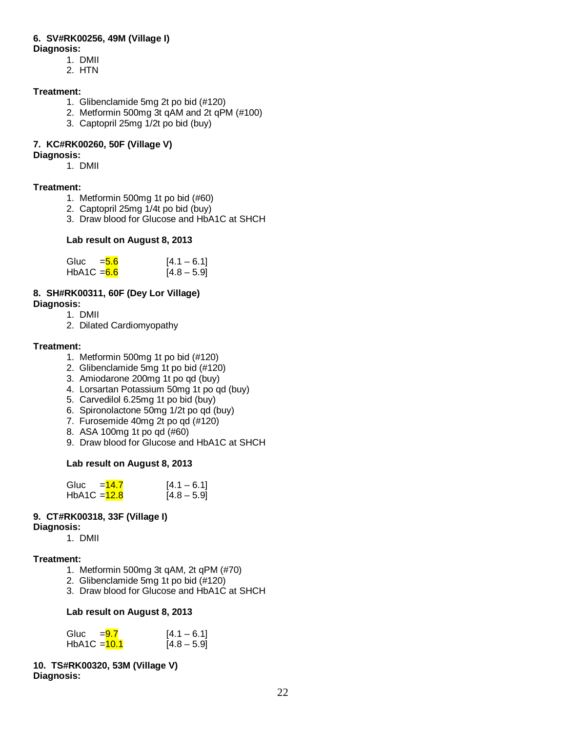## **6. SV#RK00256, 49M (Village I)**

- **Diagnosis:** 
	- 1. DMII
	- 2. HTN

## **Treatment:**

- 1. Glibenclamide 5mg 2t po bid (#120)
- 2. Metformin 500mg 3t qAM and 2t qPM (#100)
- 3. Captopril 25mg 1/2t po bid (buy)

## **7. KC#RK00260, 50F (Village V)**

### **Diagnosis:**

1. DMII

## **Treatment:**

- 1. Metformin 500mg 1t po bid (#60)
- 2. Captopril 25mg 1/4t po bid (buy)
- 3. Draw blood for Glucose and HbA1C at SHCH

#### **Lab result on August 8, 2013**

| Gluc          | $=$ 5.6 | $[4.1 - 6.1]$ |
|---------------|---------|---------------|
| $HbA1C = 6.6$ |         | $[4.8 - 5.9]$ |

## **8. SH#RK00311, 60F (Dey Lor Village)**

**Diagnosis:**

- 1. DMII
- 2. Dilated Cardiomyopathy

## **Treatment:**

- 1. Metformin 500mg 1t po bid (#120)
- 2. Glibenclamide 5mg 1t po bid (#120)
- 3. Amiodarone 200mg 1t po qd (buy)
- 4. Lorsartan Potassium 50mg 1t po qd (buy)
- 5. Carvedilol 6.25mg 1t po bid (buy)
- 6. Spironolactone 50mg 1/2t po qd (buy)
- 7. Furosemide 40mg 2t po qd (#120)
- 8. ASA 100mg 1t po qd (#60)
- 9. Draw blood for Glucose and HbA1C at SHCH

## **Lab result on August 8, 2013**

| Gluc           | $=14.7$ | $[4.1 - 6.1]$ |
|----------------|---------|---------------|
| HbA1C $=$ 12.8 |         | $[4.8 - 5.9]$ |

## **9. CT#RK00318, 33F (Village I)**

## **Diagnosis:**

1. DMII

## **Treatment:**

- 1. Metformin 500mg 3t qAM, 2t qPM (#70)
- 2. Glibenclamide 5mg 1t po bid (#120)
- 3. Draw blood for Glucose and HbA1C at SHCH

## **Lab result on August 8, 2013**

| Gluc           | $= 9.7$ | $[4.1 - 6.1]$ |
|----------------|---------|---------------|
| $HbA1C = 10.1$ |         | $[4.8 - 5.9]$ |

**10. TS#RK00320, 53M (Village V) Diagnosis:**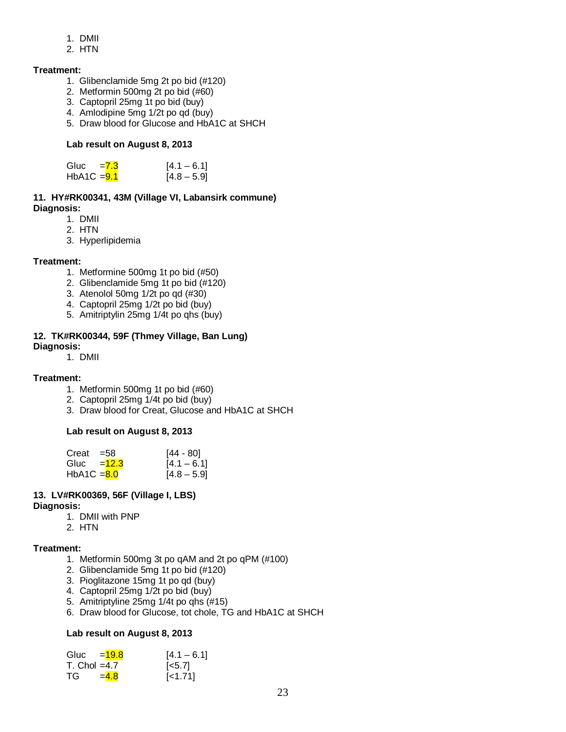- 1. DMII
- 2. HTN

#### **Treatment:**

- 1. Glibenclamide 5mg 2t po bid (#120)
- 2. Metformin 500mg 2t po bid (#60)
- 3. Captopril 25mg 1t po bid (buy)
- 4. Amlodipine 5mg 1/2t po qd (buy)
- 5. Draw blood for Glucose and HbA1C at SHCH

#### **Lab result on August 8, 2013**

| Gluc          | $=7.3$ | $[4.1 - 6.1]$ |
|---------------|--------|---------------|
| HbA1C $=$ 9.1 |        | $[4.8 - 5.9]$ |

#### **11. HY#RK00341, 43M (Village VI, Labansirk commune) Diagnosis:**

- 1. DMII
- 2. HTN
- 3. Hyperlipidemia

#### **Treatment:**

- 1. Metformine 500mg 1t po bid (#50)
- 2. Glibenclamide 5mg 1t po bid (#120)
- 3. Atenolol 50mg 1/2t po qd (#30)
- 4. Captopril 25mg 1/2t po bid (buy)
- 5. Amitriptylin 25mg 1/4t po qhs (buy)

#### **12. TK#RK00344, 59F (Thmey Village, Ban Lung)**

#### **Diagnosis:**

1. DMII

#### **Treatment:**

- 1. Metformin 500mg 1t po bid (#60)
- 2. Captopril 25mg 1/4t po bid (buy)
- 3. Draw blood for Creat, Glucose and HbA1C at SHCH

#### **Lab result on August 8, 2013**

| Creat         | $= 58$                    | [44 - 80]     |
|---------------|---------------------------|---------------|
|               | Gluc $=$ $\frac{12.3}{ }$ | $[4.1 - 6.1]$ |
| HbA1C $= 8.0$ |                           | $[4.8 - 5.9]$ |

#### **13. LV#RK00369, 56F (Village I, LBS) Diagnosis:**

1. DMII with PNP

2. HTN

## **Treatment:**

- 1. Metformin 500mg 3t po qAM and 2t po qPM (#100)
- 2. Glibenclamide 5mg 1t po bid (#120)
- 3. Pioglitazone 15mg 1t po qd (buy)
- 4. Captopril 25mg 1/2t po bid (buy)
- 5. Amitriptyline 25mg 1/4t po qhs (#15)
- 6. Draw blood for Glucose, tot chole, TG and HbA1C at SHCH

#### **Lab result on August 8, 2013**

| Gluc $=$ $\frac{19.8}{5}$ |         | $[4.1 - 6.1]$      |
|---------------------------|---------|--------------------|
| $T.$ Chol =4.7            |         | $\left[5.7\right]$ |
| TG.                       | $= 4.8$ | $[-1.71]$          |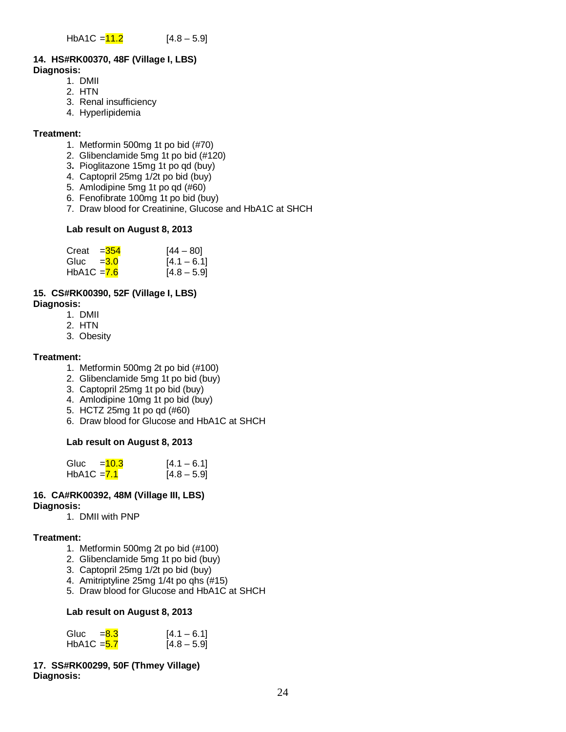#### **14. HS#RK00370, 48F (Village I, LBS) Diagnosis:**

- 1. DMII
	- 2. HTN
	- 3. Renal insufficiency
	- 4. Hyperlipidemia

#### **Treatment:**

- 1. Metformin 500mg 1t po bid (#70)
- 2. Glibenclamide 5mg 1t po bid (#120)
- 3**.** Pioglitazone 15mg 1t po qd (buy)
- 4. Captopril 25mg 1/2t po bid (buy)
- 5. Amlodipine 5mg 1t po qd (#60)
- 6. Fenofibrate 100mg 1t po bid (buy)
- 7. Draw blood for Creatinine, Glucose and HbA1C at SHCH

#### **Lab result on August 8, 2013**

| Creat $=354$  | $[44 - 80]$   |
|---------------|---------------|
| Gluc $=3.0$   | $[4.1 - 6.1]$ |
| HbA1C $= 7.6$ | $[4.8 - 5.9]$ |

#### **15. CS#RK00390, 52F (Village I, LBS)**

- **Diagnosis:**
	- 1. DMII
	- 2. HTN
	- 3. Obesity

#### **Treatment:**

- 1. Metformin 500mg 2t po bid (#100)
- 2. Glibenclamide 5mg 1t po bid (buy)
- 3. Captopril 25mg 1t po bid (buy)
- 4. Amlodipine 10mg 1t po bid (buy)
- 5. HCTZ 25mg 1t po qd (#60)
- 6. Draw blood for Glucose and HbA1C at SHCH

### **Lab result on August 8, 2013**

| Gluc          | $=10.3$ | $[4.1 - 6.1]$ |
|---------------|---------|---------------|
| HbA1C $= 7.1$ |         | $[4.8 - 5.9]$ |

#### **16. CA#RK00392, 48M (Village III, LBS) Diagnosis:**

1. DMII with PNP

#### **Treatment:**

- 1. Metformin 500mg 2t po bid (#100)
- 2. Glibenclamide 5mg 1t po bid (buy)
- 3. Captopril 25mg 1/2t po bid (buy)
- 4. Amitriptyline 25mg 1/4t po qhs (#15)
- 5. Draw blood for Glucose and HbA1C at SHCH

#### **Lab result on August 8, 2013**

| Gluc $=8.3$   | $[4.1 - 6.1]$ |
|---------------|---------------|
| HbA1C $=$ 5.7 | $[4.8 - 5.9]$ |

#### **17. SS#RK00299, 50F (Thmey Village) Diagnosis:**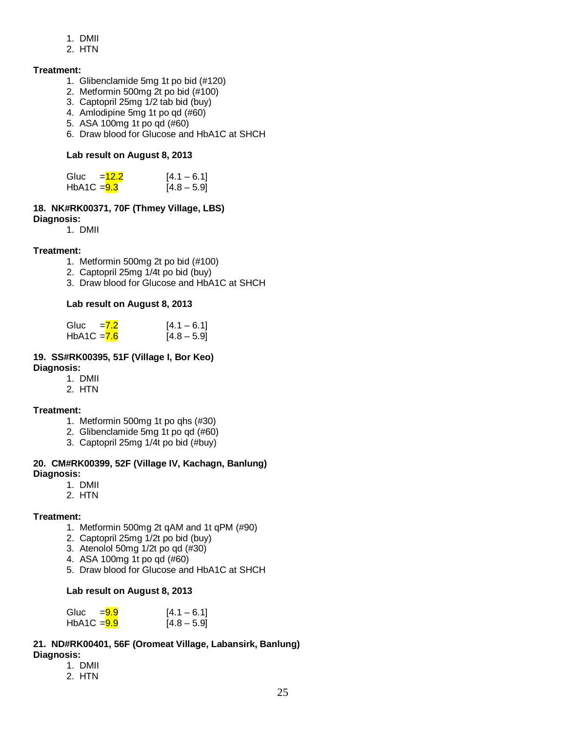- 1. DMII
- 2. HTN

## **Treatment:**

- 1. Glibenclamide 5mg 1t po bid (#120)
- 2. Metformin 500mg 2t po bid (#100)
- 3. Captopril 25mg 1/2 tab bid (buy)
- 4. Amlodipine 5mg 1t po qd (#60)
- 5. ASA 100mg 1t po qd (#60)
- 6. Draw blood for Glucose and HbA1C at SHCH

## **Lab result on August 8, 2013**

| Gluc          | $=12.2$ | $[4.1 - 6.1]$ |
|---------------|---------|---------------|
| $HbA1C = 9.3$ |         | $[4.8 - 5.9]$ |

#### **18. NK#RK00371, 70F (Thmey Village, LBS) Diagnosis:**

1. DMII

## **Treatment:**

- 1. Metformin 500mg 2t po bid (#100)
- 2. Captopril 25mg 1/4t po bid (buy)
- 3. Draw blood for Glucose and HbA1C at SHCH

## **Lab result on August 8, 2013**

| Gluc          | $= 7.2$ | $[4.1 - 6.1]$ |
|---------------|---------|---------------|
| $HbA1C = 7.6$ |         | $[4.8 - 5.9]$ |

## **19. SS#RK00395, 51F (Village I, Bor Keo)**

**Diagnosis:**

- 1. DMII
- 2. HTN

## **Treatment:**

- 1. Metformin 500mg 1t po qhs (#30)
- 2. Glibenclamide 5mg 1t po qd (#60)
- 3. Captopril 25mg 1/4t po bid (#buy)

#### **20. CM#RK00399, 52F (Village IV, Kachagn, Banlung) Diagnosis:**

- 1. DMII
- 2. HTN

## **Treatment:**

- 1. Metformin 500mg 2t qAM and 1t qPM (#90)
- 2. Captopril 25mg 1/2t po bid (buy)
- 3. Atenolol 50mg 1/2t po qd (#30)
- 4. ASA 100mg 1t po qd (#60)
- 5. Draw blood for Glucose and HbA1C at SHCH

## **Lab result on August 8, 2013**

| Gluc          | =9.9 | $[4.1 - 6.1]$ |
|---------------|------|---------------|
| $HbA1C = 9.9$ |      | $[4.8 - 5.9]$ |

#### **21. ND#RK00401, 56F (Oromeat Village, Labansirk, Banlung) Diagnosis:**

- 1. DMII
- 2. HTN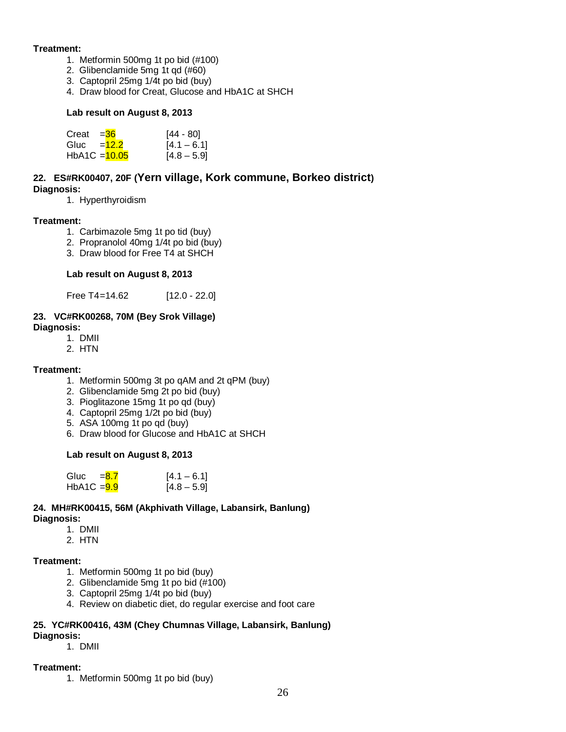#### **Treatment:**

- 1. Metformin 500mg 1t po bid (#100)
	- 2. Glibenclamide 5mg 1t qd (#60)
	- 3. Captopril 25mg 1/4t po bid (buy)
	- 4. Draw blood for Creat, Glucose and HbA1C at SHCH

#### **Lab result on August 8, 2013**

| Creat $=36$  |                 | [44 - 80]     |
|--------------|-----------------|---------------|
| Gluc $=12.2$ |                 | $[4.1 - 6.1]$ |
|              | $HbA1C = 10.05$ | $[4.8 - 5.9]$ |

## **22. ES#RK00407, 20F (Yern village, Kork commune, Borkeo district) Diagnosis:**

1. Hyperthyroidism

#### **Treatment:**

- 1. Carbimazole 5mg 1t po tid (buy)
- 2. Propranolol 40mg 1/4t po bid (buy)
- 3. Draw blood for Free T4 at SHCH

#### **Lab result on August 8, 2013**

Free T4=14.62 [12.0 - 22.0]

#### **23. VC#RK00268, 70M (Bey Srok Village) Diagnosis:**

- 1. DMII
- 2. HTN

#### **Treatment:**

- 1. Metformin 500mg 3t po qAM and 2t qPM (buy)
- 2. Glibenclamide 5mg 2t po bid (buy)
- 3. Pioglitazone 15mg 1t po qd (buy)
- 4. Captopril 25mg 1/2t po bid (buy)
- 5. ASA 100mg 1t po qd (buy)
- 6. Draw blood for Glucose and HbA1C at SHCH

#### **Lab result on August 8, 2013**

| Gluc $=8.7$   | $[4.1 - 6.1]$ |
|---------------|---------------|
| $HbA1C = 9.9$ | $[4.8 - 5.9]$ |

#### **24. MH#RK00415, 56M (Akphivath Village, Labansirk, Banlung) Diagnosis:**

- 1. DMII
- 2. HTN

#### **Treatment:**

- 1. Metformin 500mg 1t po bid (buy)
- 2. Glibenclamide 5mg 1t po bid (#100)
- 3. Captopril 25mg 1/4t po bid (buy)
- 4. Review on diabetic diet, do regular exercise and foot care

## **25. YC#RK00416, 43M (Chey Chumnas Village, Labansirk, Banlung)**

## **Diagnosis:**

1. DMII

#### **Treatment:**

1. Metformin 500mg 1t po bid (buy)